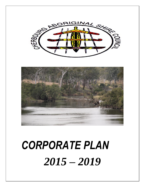

# *CORPORATE PLAN 2015 – 2019*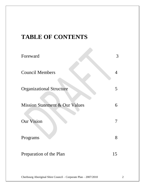# **TABLE OF CONTENTS**

| Foreward                                  | 3              |
|-------------------------------------------|----------------|
| <b>Council Members</b>                    | $\overline{4}$ |
| <b>Organizational Structure</b>           | 5              |
| <b>Mission Statement &amp; Our Values</b> | 6              |
| <b>Our Vision</b>                         |                |
| Programs                                  | 8              |
| Preparation of the Plan                   | 15             |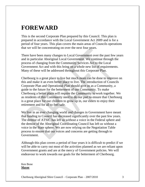# **FOREWARD**

This is the second Corporate Plan prepared by this Council. This plan is prepared in accordance with the Local Government Act 2009 and is for a period of four years. This plan covers the main areas of Councils operations that we will be concentrating on over the next four years.

There have been many changes to Local Government over the past few years and in particular Aboriginal Local Government. We continue through the process of changing from the Community Services Act to the Local Government Act and with this bring on a whole new list of requirements. Many of these will be addressed throughout this Corporate Plan.

Cherbourg is a great place to live but much more can be done to improve on this and make it an even better place to live. The introduction of Councils Corporate Plan and Operational Plan should give us as a Community, a guide to the future for the betterment of our Community. To make Cherbourg a better place will require the Community to work together. We as residents of this Community need to do our part to ensure that Cherbourg is a great place for our children to grow up in, our elders to enjoy their retirement and for all to feel safe.

We live in an ever changing world and changes in Government have meant that funding to Council has decreased significantly over the past few years. The demise of ATSIC has left us without a voice in the Federal sphere and the demise of the Aboriginal Coordinating Council has left us without a voice in the State sphere. We are now relying on the Negotiation Table process to ensure that our voices and concerns are getting through to Government.

Although this plan covers a period of four years it is difficult to predict if we will be able to carry out most of the activities planned as we are reliant upon Government grants and are at the mercy of Government policies. We will endeavour to work towards our goals for the betterment of Cherbourg.

Ken Bone **Mayor**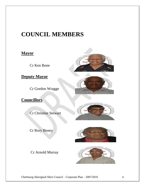# **COUNCIL MEMBERS**

#### **Mayor**

Cr Ken Bone

#### **Deputy Mayor**

Cr Gordon Wragge

**Councillors**

Cr Christine Stewart

Cr Rory Boney

#### Cr Arnold Murray









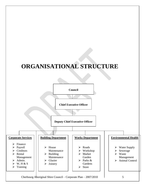# **ORGANISATIONAL STRUCTURE**

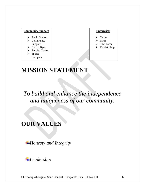#### **Community Support**

- > Radio Station
- $\triangleright$  Community Support
- $\triangleright$  Ny Ku Byun
- **Exercise** Centre
- $\triangleright$  Sports
- Complex

#### **Enterprises**

- Cattle
- Farm
- Emu Farm
- > Tourist Shop

# **MISSION STATEMENT**

*To build and enhance the independence and uniqueness of our community.*

# **OUR VALUES**

*Honesty and Integrity*

*Leadership*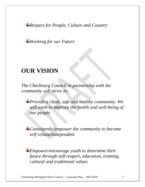*Respect for People, Culture and Country*

*Working for our Future*

# **OUR VISION**

*The Cherbourg Council in partnership with the community will strive to:*

*Provide a clean, safe and healthy community. We will work to improve the health and well-being of our people*

*Consistently empower the community to become self reliant/independent*

*Empower/encourage youth to determine their future through self respect, education, training, cultural and traditional values*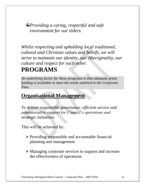*Providing a caring, respectful and safe environment for our elders.*

*Whilst respecting and upholding local traditional, cultural and Christian values and beliefs, we will strive to maintain our identity, our Aboriginality, our culture and respect for each other.*

# **PROGRAMS**

*An underlying factor for these programs is that adequate grant funding is available to meet the needs outlined in the Corporate Plan.*

### **Organisational Management**

*To deliver responsible governance, efficient service and administrative support for Council's operations and strategic initiatives.*

- $\triangleright$  Providing responsible and accountable financial planning and management
- Managing corporate services to support and increase the effectiveness of operations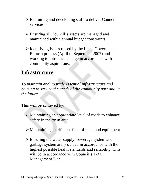- Recruiting and developing staff to deliver Council services
- Ensuring all Council's assets are managed and maintained within annual budget constraints.
- $\triangleright$  Identifying issues raised by the Local Government Reform process (April to September 2007) and working to introduce change in accordance with community aspirations.

### **Infrastructure**

*To maintain and upgrade essential infrastructure and housing to service the needs of the community now and in the future*

- Maintaining an appropriate level of roads to enhance safety in the town area.
- Maintaining an efficient fleet of plant and equipment
- Ensuring the water supply, sewerage system and garbage system are provided in accordance with the highest possible health standards and reliability. This will be in accordance with Council's Total Management Plan.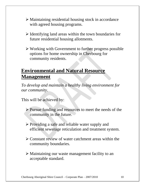- Maintaining residential housing stock in accordance with agreed housing programs.
- $\triangleright$  Identifying land areas within the town boundaries for future residential housing allotments.
- Working with Government to further progress possible options for home ownership in Cherbourg for community residents.

# **Environmental and Natural Resource Management**

*To develop and maintain a healthy living environment for our community.*

- Pursue funding and resources to meet the needs of the community in the future.
- Providing a safe and reliable water supply and efficient sewerage reticulation and treatment system.
- Constant review of water catchment areas within the community boundaries.
- Maintaining our waste management facility to an acceptable standard.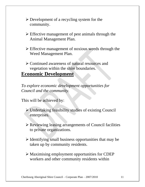- $\triangleright$  Development of a recycling system for the community.
- $\triangleright$  Effective management of pest animals through the Animal Management Plan.
- $\triangleright$  Effective management of noxious weeds through the Weed Management Plan.
- Continued awareness of natural resources and vegetation within the shire boundaries.

#### **Economic Development**

*To explore economic development opportunities for Council and the community.*

- Undertaking feasibility studies of existing Council enterprises.
- Reviewing leasing arrangements of Council facilities to private organizations.
- $\triangleright$  Identifying small business opportunities that may be taken up by community residents.
- Maximising employment opportunities for CDEP workers and other community residents within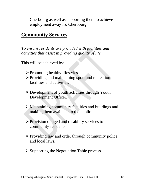Cherbourg as well as supporting them to achieve employment away fro Cherbourg.

#### **Community Services**

*To ensure residents are provided with facilities and activities that assist in providing quality of life.*

- $\triangleright$  Promoting healthy lifestyles
- $\triangleright$  Providing and maintaining sport and recreation facilities and activities.
- Development of youth activities through Youth Development Officer.
- Maintaining community facilities and buildings and making them available to the public.
- $\triangleright$  Provision of aged and disability services to community residents.
- $\triangleright$  Providing law and order through community police and local laws.
- $\triangleright$  Supporting the Negotiation Table process.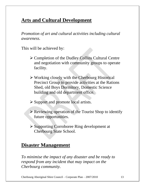# **Arts and Cultural Development**

*Promotion of art and cultural activities including cultural awareness.*

This will be achieved by:

- Completion of the Dudley Collins Cultural Centre and negotiation with community groups to operate facility.
- Working closely with the Cherbourg Historical Precinct Group to provide activities at the Rations Shed, old Boys Dormitory, Domestic Science building and old department office.
- $\triangleright$  Support and promote local artists.
- Reviewing operation of the Tourist Shop to identify future opportunities.
- Supporting Corroboree Ring development at Cherbourg State School.

### **Disaster Management**

*To minimise the impact of any disaster and be ready to respond from any incident that may impact on the Cherbourg community.*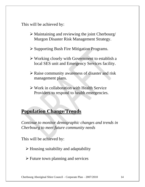This will be achieved by:

- $\triangleright$  Maintaining and reviewing the joint Cherbourg/ Murgon Disaster Risk Management Strategy.
- Supporting Bush Fire Mitigation Programs.
- Working closely with Government to establish a local SES unit and Emergency Services facility.
- Raise community awareness of disaster and risk management plans.
- Work in collaboration with Health Service Providers to respond to health emergencies.

### **Population Change/Trends**

*Continue to monitor demographic changes and trends in Cherbourg to meet future community needs*

This will be achieved by:

 $\triangleright$  Housing suitability and adaptability

 $\triangleright$  Future town planning and services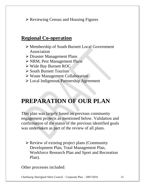$\triangleright$  Reviewing Census and Housing Figures

### **Regional Co-operation**

- Membership of South Burnett Local Government Association
- Disaster Management Plans
- NRM, Pest Management Plans
- Wide Bay Burnett ROC
- **► South Burnett Tourism**
- Waste Management Collaboration
- Local Indigenous Partnership Agreement

# **PREPARATION OF OUR PLAN**

This plan was largely based on previous community engagement projects as mentioned below. Validation and confirmation of the status of the previous identified goals was undertaken as part of the review of all plans.

 Review of existing project plans (Community Development Plan, Total Management Plan, Workforce Research Plan and Sport and Recreation Plan).

Other processes included: